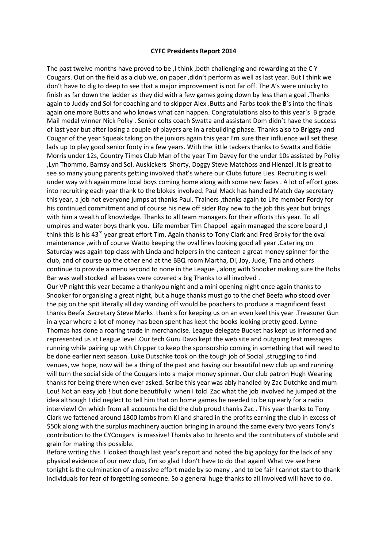## CYFC Presidents Report 2014

The past twelve months have proved to be ,I think ,both challenging and rewarding at the C Y Cougars. Out on the field as a club we, on paper ,didn't perform as well as last year. But I think we don't have to dig to deep to see that a major improvement is not far off. The A's were unlucky to finish as far down the ladder as they did with a few games going down by less than a goal .Thanks again to Juddy and Sol for coaching and to skipper Alex .Butts and Farbs took the B's into the finals again one more Butts and who knows what can happen. Congratulations also to this year's B grade Mail medal winner Nick Polky . Senior colts coach Swatta and assistant Dom didn't have the success of last year but after losing a couple of players are in a rebuilding phase. Thanks also to Briggsy and Cougar of the year Squeak taking on the juniors again this year I'm sure their influence will set these lads up to play good senior footy in a few years. With the little tackers thanks to Swatta and Eddie Morris under 12s, Country Times Club Man of the year Tim Davey for the under 10s assisted by Polky ,Lyn Thommo, Barnsy and Sol. Auskickers Shorty, Doggy Steve Matchoss and Hienzel .It is great to see so many young parents getting involved that's where our Clubs future Lies. Recruiting is well under way with again more local boys coming home along with some new faces . A lot of effort goes into recruiting each year thank to the blokes involved. Paul Mack has handled Match day secretary this year, a job not everyone jumps at thanks Paul. Trainers ,thanks again to Life member Fordy for his continued commitment and of course his new off sider Roy new to the job this year but brings with him a wealth of knowledge. Thanks to all team managers for their efforts this year. To all umpires and water boys thank you. Life member Tim Chappel again managed the score board ,I think this is his 43<sup>rd</sup> year great effort Tim. Again thanks to Tony Clark and Fred Broky for the oval maintenance ,with of course Watto keeping the oval lines looking good all year .Catering on Saturday was again top class with Linda and helpers in the canteen a great money spinner for the club, and of course up the other end at the BBQ room Martha, Di, Joy, Jude, Tina and others continue to provide a menu second to none in the League , along with Snooker making sure the Bobs Bar was well stocked all bases were covered a big Thanks to all involved .

Our VP night this year became a thankyou night and a mini opening night once again thanks to Snooker for organising a great night, but a huge thanks must go to the chef Beefa who stood over the pig on the spit literally all day warding off would be poachers to produce a magnificent feast thanks Beefa .Secretary Steve Marks thank s for keeping us on an even keel this year .Treasurer Gun in a year where a lot of money has been spent has kept the books looking pretty good. Lynne Thomas has done a roaring trade in merchandise. League delegate Bucket has kept us informed and represented us at League level .Our tech Guru Davo kept the web site and outgoing text messages running while pairing up with Chipper to keep the sponsorship coming in something that will need to be done earlier next season. Luke Dutschke took on the tough job of Social ,struggling to find venues, we hope, now will be a thing of the past and having our beautiful new club up and running will turn the social side of the Cougars into a major money spinner. Our club patron Hugh Wearing thanks for being there when ever asked. Scribe this year was ably handled by Zac Dutchke and mum Lou! Not an easy job ! but done beautifully when I told Zac what the job involved he jumped at the idea although I did neglect to tell him that on home games he needed to be up early for a radio interview! On which from all accounts he did the club proud thanks Zac . This year thanks to Tony Clark we fattened around 1800 lambs from KI and shared in the profits earning the club in excess of \$50k along with the surplus machinery auction bringing in around the same every two years Tony's contribution to the CYCougars is massive! Thanks also to Brento and the contributers of stubble and grain for making this possible.

Before writing this I looked though last year's report and noted the big apology for the lack of any physical evidence of our new club, I'm so glad I don't have to do that again! What we see here tonight is the culmination of a massive effort made by so many , and to be fair I cannot start to thank individuals for fear of forgetting someone. So a general huge thanks to all involved will have to do.